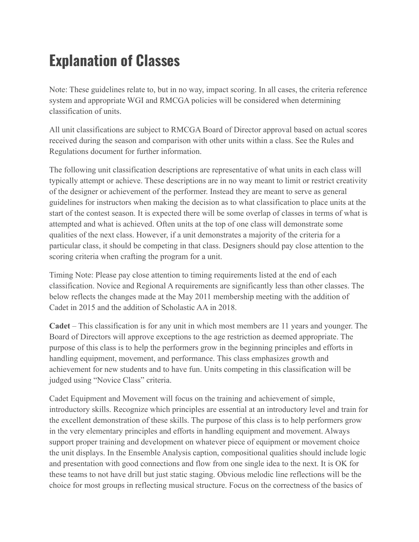## **Explanation of Classes**

Note: These guidelines relate to, but in no way, impact scoring. In all cases, the criteria reference system and appropriate WGI and RMCGA policies will be considered when determining classification of units.

All unit classifications are subject to RMCGA Board of Director approval based on actual scores received during the season and comparison with other units within a class. See the Rules and Regulations document for further information.

The following unit classification descriptions are representative of what units in each class will typically attempt or achieve. These descriptions are in no way meant to limit or restrict creativity of the designer or achievement of the performer. Instead they are meant to serve as general guidelines for instructors when making the decision as to what classification to place units at the start of the contest season. It is expected there will be some overlap of classes in terms of what is attempted and what is achieved. Often units at the top of one class will demonstrate some qualities of the next class. However, if a unit demonstrates a majority of the criteria for a particular class, it should be competing in that class. Designers should pay close attention to the scoring criteria when crafting the program for a unit.

Timing Note: Please pay close attention to timing requirements listed at the end of each classification. Novice and Regional A requirements are significantly less than other classes. The below reflects the changes made at the May 2011 membership meeting with the addition of Cadet in 2015 and the addition of Scholastic AA in 2018.

**Cadet** – This classification is for any unit in which most members are 11 years and younger. The Board of Directors will approve exceptions to the age restriction as deemed appropriate. The purpose of this class is to help the performers grow in the beginning principles and efforts in handling equipment, movement, and performance. This class emphasizes growth and achievement for new students and to have fun. Units competing in this classification will be judged using "Novice Class" criteria.

Cadet Equipment and Movement will focus on the training and achievement of simple, introductory skills. Recognize which principles are essential at an introductory level and train for the excellent demonstration of these skills. The purpose of this class is to help performers grow in the very elementary principles and efforts in handling equipment and movement. Always support proper training and development on whatever piece of equipment or movement choice the unit displays. In the Ensemble Analysis caption, compositional qualities should include logic and presentation with good connections and flow from one single idea to the next. It is OK for these teams to not have drill but just static staging. Obvious melodic line reflections will be the choice for most groups in reflecting musical structure. Focus on the correctness of the basics of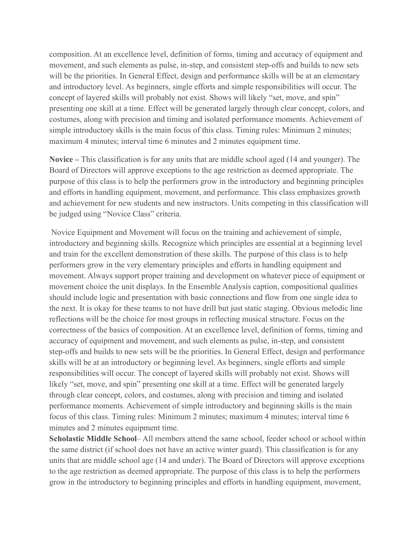composition. At an excellence level, definition of forms, timing and accuracy of equipment and movement, and such elements as pulse, in-step, and consistent step-offs and builds to new sets will be the priorities. In General Effect, design and performance skills will be at an elementary and introductory level. As beginners, single efforts and simple responsibilities will occur. The concept of layered skills will probably not exist. Shows will likely "set, move, and spin" presenting one skill at a time. Effect will be generated largely through clear concept, colors, and costumes, along with precision and timing and isolated performance moments. Achievement of simple introductory skills is the main focus of this class. Timing rules: Minimum 2 minutes; maximum 4 minutes; interval time 6 minutes and 2 minutes equipment time.

**Novice –** This classification is for any units that are middle school aged (14 and younger). The Board of Directors will approve exceptions to the age restriction as deemed appropriate. The purpose of this class is to help the performers grow in the introductory and beginning principles and efforts in handling equipment, movement, and performance. This class emphasizes growth and achievement for new students and new instructors. Units competing in this classification will be judged using "Novice Class" criteria.

Novice Equipment and Movement will focus on the training and achievement of simple, introductory and beginning skills. Recognize which principles are essential at a beginning level and train for the excellent demonstration of these skills. The purpose of this class is to help performers grow in the very elementary principles and efforts in handling equipment and movement. Always support proper training and development on whatever piece of equipment or movement choice the unit displays. In the Ensemble Analysis caption, compositional qualities should include logic and presentation with basic connections and flow from one single idea to the next. It is okay for these teams to not have drill but just static staging. Obvious melodic line reflections will be the choice for most groups in reflecting musical structure. Focus on the correctness of the basics of composition. At an excellence level, definition of forms, timing and accuracy of equipment and movement, and such elements as pulse, in-step, and consistent step-offs and builds to new sets will be the priorities. In General Effect, design and performance skills will be at an introductory or beginning level. As beginners, single efforts and simple responsibilities will occur. The concept of layered skills will probably not exist. Shows will likely "set, move, and spin" presenting one skill at a time. Effect will be generated largely through clear concept, colors, and costumes, along with precision and timing and isolated performance moments. Achievement of simple introductory and beginning skills is the main focus of this class. Timing rules: Minimum 2 minutes; maximum 4 minutes; interval time 6 minutes and 2 minutes equipment time.

**Scholastic Middle School**– All members attend the same school, feeder school or school within the same district (if school does not have an active winter guard). This classification is for any units that are middle school age (14 and under). The Board of Directors will approve exceptions to the age restriction as deemed appropriate. The purpose of this class is to help the performers grow in the introductory to beginning principles and efforts in handling equipment, movement,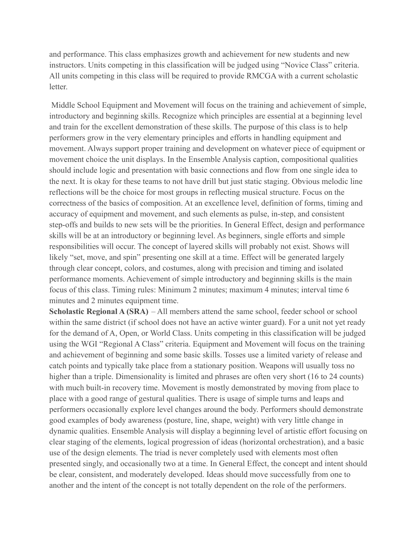and performance. This class emphasizes growth and achievement for new students and new instructors. Units competing in this classification will be judged using "Novice Class" criteria. All units competing in this class will be required to provide RMCGA with a current scholastic letter.

Middle School Equipment and Movement will focus on the training and achievement of simple, introductory and beginning skills. Recognize which principles are essential at a beginning level and train for the excellent demonstration of these skills. The purpose of this class is to help performers grow in the very elementary principles and efforts in handling equipment and movement. Always support proper training and development on whatever piece of equipment or movement choice the unit displays. In the Ensemble Analysis caption, compositional qualities should include logic and presentation with basic connections and flow from one single idea to the next. It is okay for these teams to not have drill but just static staging. Obvious melodic line reflections will be the choice for most groups in reflecting musical structure. Focus on the correctness of the basics of composition. At an excellence level, definition of forms, timing and accuracy of equipment and movement, and such elements as pulse, in-step, and consistent step-offs and builds to new sets will be the priorities. In General Effect, design and performance skills will be at an introductory or beginning level. As beginners, single efforts and simple responsibilities will occur. The concept of layered skills will probably not exist. Shows will likely "set, move, and spin" presenting one skill at a time. Effect will be generated largely through clear concept, colors, and costumes, along with precision and timing and isolated performance moments. Achievement of simple introductory and beginning skills is the main focus of this class. Timing rules: Minimum 2 minutes; maximum 4 minutes; interval time 6 minutes and 2 minutes equipment time.

**Scholastic Regional A (SRA)** – All members attend the same school, feeder school or school within the same district (if school does not have an active winter guard). For a unit not yet ready for the demand of A, Open, or World Class. Units competing in this classification will be judged using the WGI "Regional A Class" criteria. Equipment and Movement will focus on the training and achievement of beginning and some basic skills. Tosses use a limited variety of release and catch points and typically take place from a stationary position. Weapons will usually toss no higher than a triple. Dimensionality is limited and phrases are often very short (16 to 24 counts) with much built-in recovery time. Movement is mostly demonstrated by moving from place to place with a good range of gestural qualities. There is usage of simple turns and leaps and performers occasionally explore level changes around the body. Performers should demonstrate good examples of body awareness (posture, line, shape, weight) with very little change in dynamic qualities. Ensemble Analysis will display a beginning level of artistic effort focusing on clear staging of the elements, logical progression of ideas (horizontal orchestration), and a basic use of the design elements. The triad is never completely used with elements most often presented singly, and occasionally two at a time. In General Effect, the concept and intent should be clear, consistent, and moderately developed. Ideas should move successfully from one to another and the intent of the concept is not totally dependent on the role of the performers.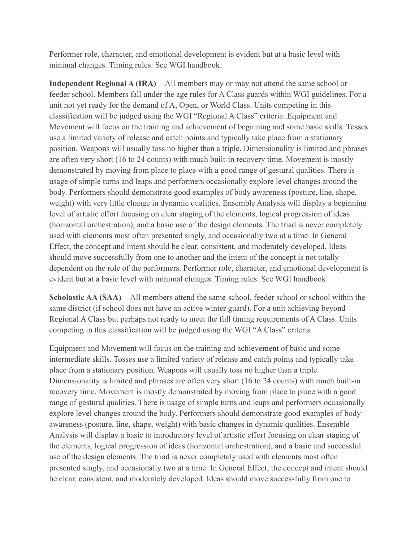Performer role, character, and emotional development is evident but at a basic level with minimal changes. Timing rules: See WGI handbook.

**Independent Regional A (IRA)** – All members may or may not attend the same school or feeder school. Members fall under the age rules for A Class guards within WGI guidelines. For a unit not yet ready for the demand of A, Open, or World Class. Units competing in this classification will be judged using the WGI "Regional A Class" criteria. Equipment and Movement will focus on the training and achievement of beginning and some basic skills. Tosses use a limited variety of release and catch points and typically take place from a stationary position. Weapons will usually toss no higher than a triple. Dimensionality is limited and phrases are often very short (16 to 24 counts) with much built-in recovery time. Movement is mostly demonstrated by moving from place to place with a good range of gestural qualities. There is usage of simple turns and leaps and performers occasionally explore level changes around the body. Performers should demonstrate good examples of body awareness (posture, line, shape, weight) with very little change in dynamic qualities. Ensemble Analysis will display a beginning level of artistic effort focusing on clear staging of the elements, logical progression of ideas (horizontal orchestration), and a basic use of the design elements. The triad is never completely used with elements most often presented singly, and occasionally two at a time. In General Effect, the concept and intent should be clear, consistent, and moderately developed. Ideas should move successfully from one to another and the intent of the concept is not totally dependent on the role of the performers. Performer role, character, and emotional development is evident but at a basic level with minimal changes. Timing rules: See WGI handbook

**Scholastic AA (SAA)** – All members attend the same school, feeder school or school within the same district (if school does not have an active winter guard). For a unit achieving beyond Regional A Class but perhaps not ready to meet the full timing requirements of A Class. Units competing in this classification will be judged using the WGI "A Class" criteria.

Equipment and Movement will focus on the training and achievement of basic and some intermediate skills. Tosses use a limited variety of release and catch points and typically take place from a stationary position. Weapons will usually toss no higher than a triple. Dimensionality is limited and phrases are often very short (16 to 24 counts) with much built-in recovery time. Movement is mostly demonstrated by moving from place to place with a good range of gestural qualities. There is usage of simple turns and leaps and performers occasionally explore level changes around the body. Performers should demonstrate good examples of body awareness (posture, line, shape, weight) with basic changes in dynamic qualities. Ensemble Analysis will display a basic to introductory level of artistic effort focusing on clear staging of the elements, logical progression of ideas (horizontal orchestration), and a basic and successful use of the design elements. The triad is never completely used with elements most often presented singly, and occasionally two at a time. In General Effect, the concept and intent should be clear, consistent, and moderately developed. Ideas should move successfully from one to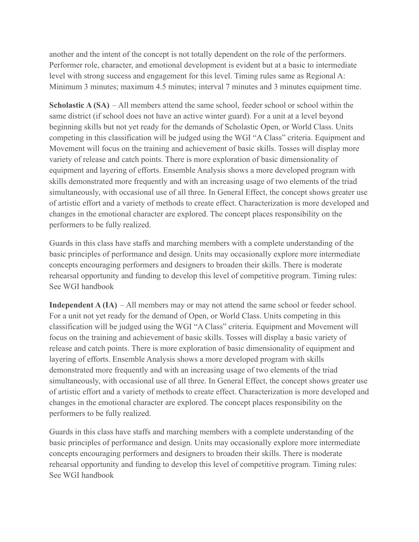another and the intent of the concept is not totally dependent on the role of the performers. Performer role, character, and emotional development is evident but at a basic to intermediate level with strong success and engagement for this level. Timing rules same as Regional A: Minimum 3 minutes; maximum 4.5 minutes; interval 7 minutes and 3 minutes equipment time.

**Scholastic A (SA)** – All members attend the same school, feeder school or school within the same district (if school does not have an active winter guard). For a unit at a level beyond beginning skills but not yet ready for the demands of Scholastic Open, or World Class. Units competing in this classification will be judged using the WGI "A Class" criteria. Equipment and Movement will focus on the training and achievement of basic skills. Tosses will display more variety of release and catch points. There is more exploration of basic dimensionality of equipment and layering of efforts. Ensemble Analysis shows a more developed program with skills demonstrated more frequently and with an increasing usage of two elements of the triad simultaneously, with occasional use of all three. In General Effect, the concept shows greater use of artistic effort and a variety of methods to create effect. Characterization is more developed and changes in the emotional character are explored. The concept places responsibility on the performers to be fully realized.

Guards in this class have staffs and marching members with a complete understanding of the basic principles of performance and design. Units may occasionally explore more intermediate concepts encouraging performers and designers to broaden their skills. There is moderate rehearsal opportunity and funding to develop this level of competitive program. Timing rules: See WGI handbook

**Independent A (IA)** – All members may or may not attend the same school or feeder school. For a unit not yet ready for the demand of Open, or World Class. Units competing in this classification will be judged using the WGI "A Class" criteria. Equipment and Movement will focus on the training and achievement of basic skills. Tosses will display a basic variety of release and catch points. There is more exploration of basic dimensionality of equipment and layering of efforts. Ensemble Analysis shows a more developed program with skills demonstrated more frequently and with an increasing usage of two elements of the triad simultaneously, with occasional use of all three. In General Effect, the concept shows greater use of artistic effort and a variety of methods to create effect. Characterization is more developed and changes in the emotional character are explored. The concept places responsibility on the performers to be fully realized.

Guards in this class have staffs and marching members with a complete understanding of the basic principles of performance and design. Units may occasionally explore more intermediate concepts encouraging performers and designers to broaden their skills. There is moderate rehearsal opportunity and funding to develop this level of competitive program. Timing rules: See WGI handbook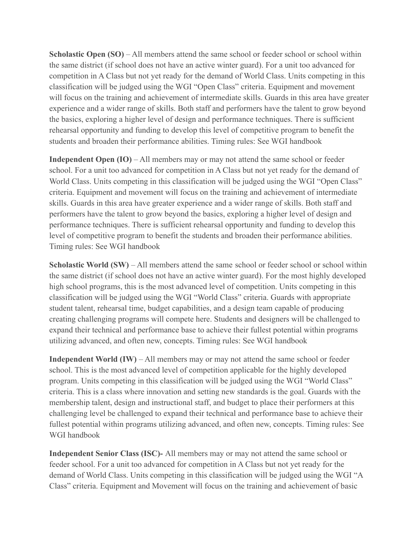**Scholastic Open (SO)** – All members attend the same school or feeder school or school within the same district (if school does not have an active winter guard). For a unit too advanced for competition in A Class but not yet ready for the demand of World Class. Units competing in this classification will be judged using the WGI "Open Class" criteria. Equipment and movement will focus on the training and achievement of intermediate skills. Guards in this area have greater experience and a wider range of skills. Both staff and performers have the talent to grow beyond the basics, exploring a higher level of design and performance techniques. There is sufficient rehearsal opportunity and funding to develop this level of competitive program to benefit the students and broaden their performance abilities. Timing rules: See WGI handbook

**Independent Open (IO)** – All members may or may not attend the same school or feeder school. For a unit too advanced for competition in A Class but not yet ready for the demand of World Class. Units competing in this classification will be judged using the WGI "Open Class" criteria. Equipment and movement will focus on the training and achievement of intermediate skills. Guards in this area have greater experience and a wider range of skills. Both staff and performers have the talent to grow beyond the basics, exploring a higher level of design and performance techniques. There is sufficient rehearsal opportunity and funding to develop this level of competitive program to benefit the students and broaden their performance abilities. Timing rules: See WGI handbook

**Scholastic World (SW)** – All members attend the same school or feeder school or school within the same district (if school does not have an active winter guard). For the most highly developed high school programs, this is the most advanced level of competition. Units competing in this classification will be judged using the WGI "World Class" criteria. Guards with appropriate student talent, rehearsal time, budget capabilities, and a design team capable of producing creating challenging programs will compete here. Students and designers will be challenged to expand their technical and performance base to achieve their fullest potential within programs utilizing advanced, and often new, concepts. Timing rules: See WGI handbook

**Independent World (IW)** – All members may or may not attend the same school or feeder school. This is the most advanced level of competition applicable for the highly developed program. Units competing in this classification will be judged using the WGI "World Class" criteria. This is a class where innovation and setting new standards is the goal. Guards with the membership talent, design and instructional staff, and budget to place their performers at this challenging level be challenged to expand their technical and performance base to achieve their fullest potential within programs utilizing advanced, and often new, concepts. Timing rules: See WGI handbook

**Independent Senior Class (ISC)-** All members may or may not attend the same school or feeder school. For a unit too advanced for competition in A Class but not yet ready for the demand of World Class. Units competing in this classification will be judged using the WGI "A Class" criteria. Equipment and Movement will focus on the training and achievement of basic